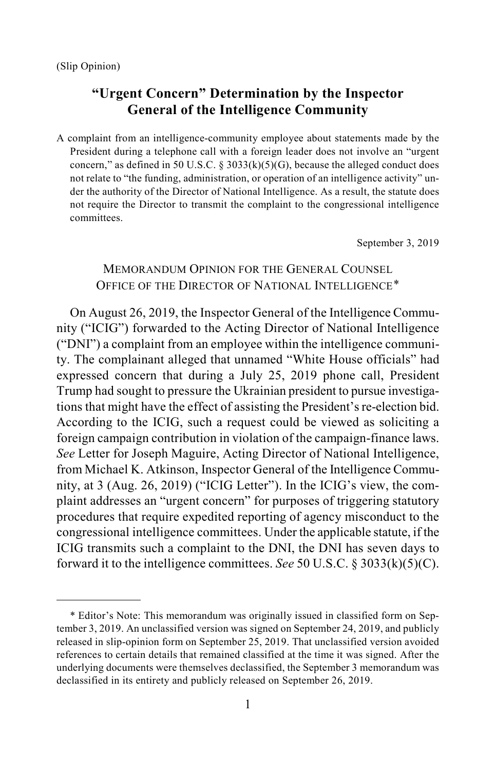$\overline{a}$ 

# **"Urgent Concern" Determination by the Inspector General of the Intelligence Community**

A complaint from an intelligence-community employee about statements made by the President during a telephone call with a foreign leader does not involve an "urgent concern," as defined in 50 U.S.C.  $\S$  3033(k)(5)(G), because the alleged conduct does not relate to "the funding, administration, or operation of an intelligence activity" under the authority of the Director of National Intelligence. As a result, the statute does not require the Director to transmit the complaint to the congressional intelligence committees.

September 3, 2019

## MEMORANDUM OPINION FOR THE GENERAL COUNSEL OFFICE OF THE DIRECTOR OF NATIONAL INTELLIGENCE[\\*](#page-0-0)

On August 26, 2019, the Inspector General of the Intelligence Community ("ICIG") forwarded to the Acting Director of National Intelligence ("DNI") a complaint from an employee within the intelligence community. The complainant alleged that unnamed "White House officials" had expressed concern that during a July 25, 2019 phone call, President Trump had sought to pressure the Ukrainian president to pursue investigations that might have the effect of assisting the President's re-election bid. According to the ICIG, such a request could be viewed as soliciting a foreign campaign contribution in violation of the campaign-finance laws. *See* Letter for Joseph Maguire, Acting Director of National Intelligence, from Michael K. Atkinson, Inspector General of the Intelligence Community, at 3 (Aug. 26, 2019) ("ICIG Letter"). In the ICIG's view, the complaint addresses an "urgent concern" for purposes of triggering statutory procedures that require expedited reporting of agency misconduct to the congressional intelligence committees. Under the applicable statute, if the ICIG transmits such a complaint to the DNI, the DNI has seven days to forward it to the intelligence committees. *See* 50 U.S.C. § 3033(k)(5)(C).

<span id="page-0-0"></span><sup>\*</sup> Editor's Note: This memorandum was originally issued in classified form on September 3, 2019. An unclassified version was signed on September 24, 2019, and publicly released in slip-opinion form on September 25, 2019. That unclassified version avoided references to certain details that remained classified at the time it was signed. After the underlying documents were themselves declassified, the September 3 memorandum was declassified in its entirety and publicly released on September 26, 2019.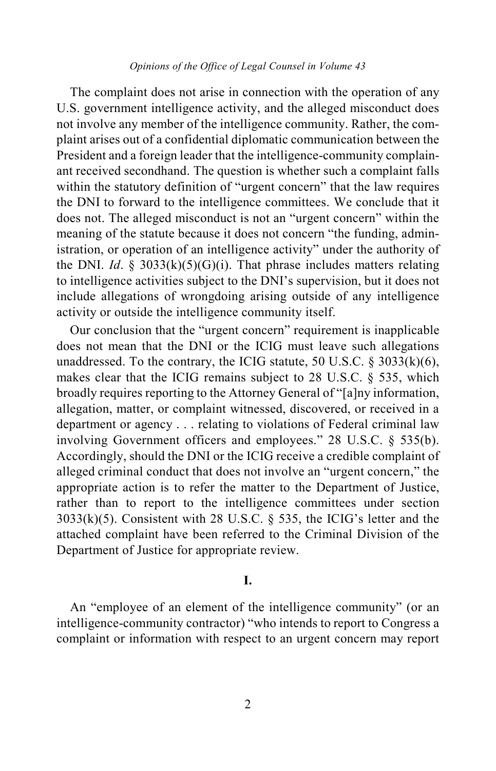#### *Opinions of the Office of Legal Counsel in Volume 43*

The complaint does not arise in connection with the operation of any U.S. government intelligence activity, and the alleged misconduct does not involve any member of the intelligence community. Rather, the complaint arises out of a confidential diplomatic communication between the President and a foreign leader that the intelligence-community complainant received secondhand. The question is whether such a complaint falls within the statutory definition of "urgent concern" that the law requires the DNI to forward to the intelligence committees. We conclude that it does not. The alleged misconduct is not an "urgent concern" within the meaning of the statute because it does not concern "the funding, administration, or operation of an intelligence activity" under the authority of the DNI. *Id*. § 3033(k)(5)(G)(i). That phrase includes matters relating to intelligence activities subject to the DNI's supervision, but it does not include allegations of wrongdoing arising outside of any intelligence activity or outside the intelligence community itself.

Our conclusion that the "urgent concern" requirement is inapplicable does not mean that the DNI or the ICIG must leave such allegations unaddressed. To the contrary, the ICIG statute, 50 U.S.C. § 3033(k)(6), makes clear that the ICIG remains subject to 28 U.S.C. § 535, which broadly requires reporting to the Attorney General of "[a]ny information, allegation, matter, or complaint witnessed, discovered, or received in a department or agency . . . relating to violations of Federal criminal law involving Government officers and employees." 28 U.S.C. § 535(b). Accordingly, should the DNI or the ICIG receive a credible complaint of alleged criminal conduct that does not involve an "urgent concern," the appropriate action is to refer the matter to the Department of Justice, rather than to report to the intelligence committees under section 3033(k)(5). Consistent with 28 U.S.C. § 535, the ICIG's letter and the attached complaint have been referred to the Criminal Division of the Department of Justice for appropriate review.

### **I.**

An "employee of an element of the intelligence community" (or an intelligence-community contractor) "who intends to report to Congress a complaint or information with respect to an urgent concern may report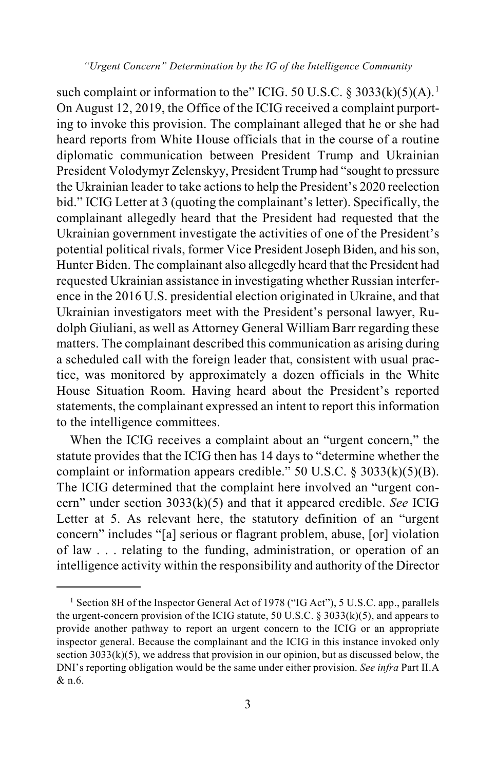*"Urgent Concern" Determination by the IG of the Intelligence Community*

such complaint or information to the" ICIG. 50 U.S.C.  $\S 3033(k)(5)(A)$ .<sup>[1](#page-2-0)</sup> On August 12, 2019, the Office of the ICIG received a complaint purporting to invoke this provision. The complainant alleged that he or she had heard reports from White House officials that in the course of a routine diplomatic communication between President Trump and Ukrainian President Volodymyr Zelenskyy, President Trump had "sought to pressure the Ukrainian leader to take actions to help the President's 2020 reelection bid." ICIG Letter at 3 (quoting the complainant's letter). Specifically, the complainant allegedly heard that the President had requested that the Ukrainian government investigate the activities of one of the President's potential political rivals, former Vice President Joseph Biden, and his son, Hunter Biden. The complainant also allegedly heard that the President had requested Ukrainian assistance in investigating whether Russian interference in the 2016 U.S. presidential election originated in Ukraine, and that Ukrainian investigators meet with the President's personal lawyer, Rudolph Giuliani, as well as Attorney General William Barr regarding these matters. The complainant described this communication as arising during a scheduled call with the foreign leader that, consistent with usual practice, was monitored by approximately a dozen officials in the White House Situation Room. Having heard about the President's reported statements, the complainant expressed an intent to report this information to the intelligence committees.

When the ICIG receives a complaint about an "urgent concern," the statute provides that the ICIG then has 14 days to "determine whether the complaint or information appears credible." 50 U.S.C. § 3033(k)(5)(B). The ICIG determined that the complaint here involved an "urgent concern" under section 3033(k)(5) and that it appeared credible. *See* ICIG Letter at 5. As relevant here, the statutory definition of an "urgent concern" includes "[a] serious or flagrant problem, abuse, [or] violation of law . . . relating to the funding, administration, or operation of an intelligence activity within the responsibility and authority of the Director

<span id="page-2-0"></span><sup>&</sup>lt;sup>1</sup> Section 8H of the Inspector General Act of 1978 ("IG Act"), 5 U.S.C. app., parallels the urgent-concern provision of the ICIG statute, 50 U.S.C.  $\S 3033(k)(5)$ , and appears to provide another pathway to report an urgent concern to the ICIG or an appropriate inspector general. Because the complainant and the ICIG in this instance invoked only section  $3033(k)(5)$ , we address that provision in our opinion, but as discussed below, the DNI's reporting obligation would be the same under either provision. *See infra* Part II.A & n.6.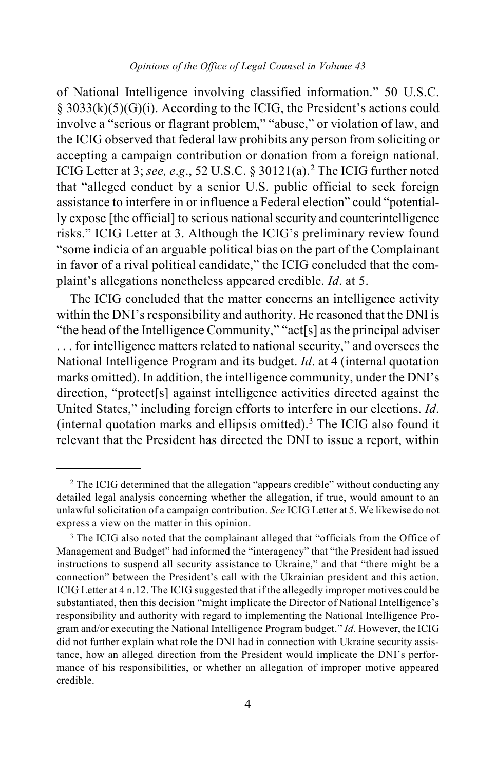of National Intelligence involving classified information." 50 U.S.C. § 3033(k)(5)(G)(i). According to the ICIG, the President's actions could involve a "serious or flagrant problem," "abuse," or violation of law, and the ICIG observed that federal law prohibits any person from soliciting or accepting a campaign contribution or donation from a foreign national. ICIG Letter at 3; *see, e*.*g*., 52 U.S.C. § 30121(a). [2](#page-3-0) The ICIG further noted that "alleged conduct by a senior U.S. public official to seek foreign assistance to interfere in or influence a Federal election" could "potentially expose [the official] to serious national security and counterintelligence risks." ICIG Letter at 3. Although the ICIG's preliminary review found "some indicia of an arguable political bias on the part of the Complainant in favor of a rival political candidate," the ICIG concluded that the complaint's allegations nonetheless appeared credible. *Id*. at 5.

The ICIG concluded that the matter concerns an intelligence activity within the DNI's responsibility and authority. He reasoned that the DNI is "the head of the Intelligence Community," "act[s] as the principal adviser . . . for intelligence matters related to national security," and oversees the National Intelligence Program and its budget. *Id*. at 4 (internal quotation marks omitted). In addition, the intelligence community, under the DNI's direction, "protect<sup>[s]</sup> against intelligence activities directed against the United States," including foreign efforts to interfere in our elections. *Id*. (internal quotation marks and ellipsis omitted).[3](#page-3-1) The ICIG also found it relevant that the President has directed the DNI to issue a report, within

<span id="page-3-0"></span><sup>&</sup>lt;sup>2</sup> The ICIG determined that the allegation "appears credible" without conducting any detailed legal analysis concerning whether the allegation, if true, would amount to an unlawful solicitation of a campaign contribution. *See* ICIG Letter at 5. We likewise do not express a view on the matter in this opinion.

<span id="page-3-1"></span><sup>&</sup>lt;sup>3</sup> The ICIG also noted that the complainant alleged that "officials from the Office of Management and Budget" had informed the "interagency" that "the President had issued instructions to suspend all security assistance to Ukraine," and that "there might be a connection" between the President's call with the Ukrainian president and this action. ICIG Letter at 4 n.12. The ICIG suggested that if the allegedly improper motives could be substantiated, then this decision "might implicate the Director of National Intelligence's responsibility and authority with regard to implementing the National Intelligence Program and/or executing the National Intelligence Program budget." *Id.* However, the ICIG did not further explain what role the DNI had in connection with Ukraine security assistance, how an alleged direction from the President would implicate the DNI's performance of his responsibilities, or whether an allegation of improper motive appeared credible.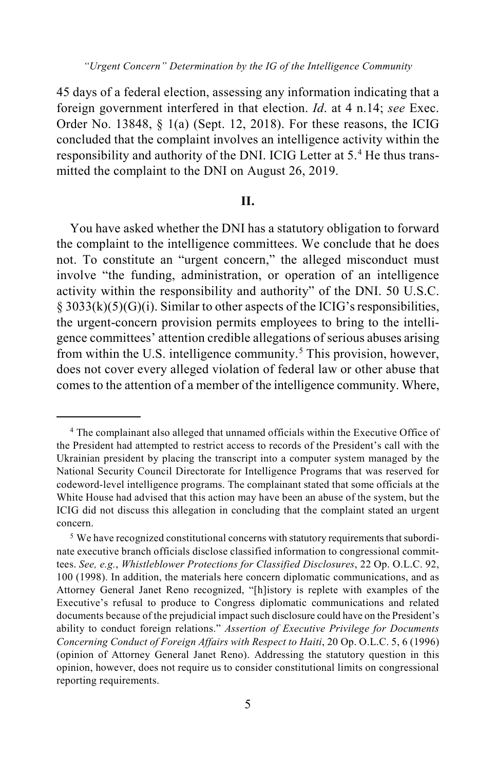45 days of a federal election, assessing any information indicating that a foreign government interfered in that election. *Id*. at 4 n.14; *see* Exec. Order No. 13848, § 1(a) (Sept. 12, 2018). For these reasons, the ICIG concluded that the complaint involves an intelligence activity within the responsibility and authority of the DNI. ICIG Letter at 5.<sup>[4](#page-4-0)</sup> He thus transmitted the complaint to the DNI on August 26, 2019.

#### **II.**

You have asked whether the DNI has a statutory obligation to forward the complaint to the intelligence committees. We conclude that he does not. To constitute an "urgent concern," the alleged misconduct must involve "the funding, administration, or operation of an intelligence activity within the responsibility and authority" of the DNI. 50 U.S.C.  $\S$  3033(k)(5)(G)(i). Similar to other aspects of the ICIG's responsibilities, the urgent-concern provision permits employees to bring to the intelligence committees' attention credible allegations of serious abuses arising from within the U.S. intelligence community.[5](#page-4-1) This provision, however, does not cover every alleged violation of federal law or other abuse that comes to the attention of a member of the intelligence community. Where,

<span id="page-4-0"></span> <sup>4</sup> The complainant also alleged that unnamed officials within the Executive Office of the President had attempted to restrict access to records of the President's call with the Ukrainian president by placing the transcript into a computer system managed by the National Security Council Directorate for Intelligence Programs that was reserved for codeword-level intelligence programs. The complainant stated that some officials at the White House had advised that this action may have been an abuse of the system, but the ICIG did not discuss this allegation in concluding that the complaint stated an urgent concern.

<span id="page-4-1"></span><sup>&</sup>lt;sup>5</sup> We have recognized constitutional concerns with statutory requirements that subordinate executive branch officials disclose classified information to congressional committees. *See, e.g.*, *Whistleblower Protections for Classified Disclosures*, 22 Op. O.L.C. 92, 100 (1998). In addition, the materials here concern diplomatic communications, and as Attorney General Janet Reno recognized, "[h]istory is replete with examples of the Executive's refusal to produce to Congress diplomatic communications and related documents because of the prejudicial impact such disclosure could have on the President's ability to conduct foreign relations." *Assertion of Executive Privilege for Documents Concerning Conduct of Foreign Affairs with Respect to Haiti*, 20 Op. O.L.C. 5, 6 (1996) (opinion of Attorney General Janet Reno). Addressing the statutory question in this opinion, however, does not require us to consider constitutional limits on congressional reporting requirements.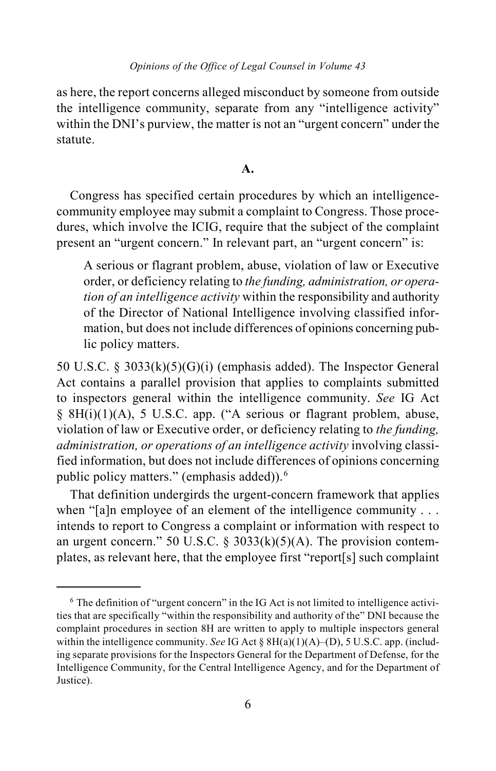as here, the report concerns alleged misconduct by someone from outside the intelligence community, separate from any "intelligence activity" within the DNI's purview, the matter is not an "urgent concern" under the statute.

**A.**

Congress has specified certain procedures by which an intelligencecommunity employee may submit a complaint to Congress. Those procedures, which involve the ICIG, require that the subject of the complaint present an "urgent concern." In relevant part, an "urgent concern" is:

A serious or flagrant problem, abuse, violation of law or Executive order, or deficiency relating to *the funding, administration, or operation of an intelligence activity* within the responsibility and authority of the Director of National Intelligence involving classified information, but does not include differences of opinions concerning public policy matters.

50 U.S.C. § 3033(k)(5)(G)(i) (emphasis added). The Inspector General Act contains a parallel provision that applies to complaints submitted to inspectors general within the intelligence community. *See* IG Act § 8H(i)(1)(A), 5 U.S.C. app. ("A serious or flagrant problem, abuse, violation of law or Executive order, or deficiency relating to *the funding, administration, or operations of an intelligence activity* involving classified information, but does not include differences of opinions concerning public policy matters." (emphasis added)).<sup>[6](#page-5-0)</sup>

That definition undergirds the urgent-concern framework that applies when "[a]n employee of an element of the intelligence community . . . intends to report to Congress a complaint or information with respect to an urgent concern." 50 U.S.C.  $\S$  3033(k)(5)(A). The provision contemplates, as relevant here, that the employee first "report[s] such complaint

<span id="page-5-0"></span> <sup>6</sup> The definition of "urgent concern" in the IG Act is not limited to intelligence activities that are specifically "within the responsibility and authority of the" DNI because the complaint procedures in section 8H are written to apply to multiple inspectors general within the intelligence community. *See* IG Act § 8H(a)(1)(A)–(D), 5 U.S.C. app. (including separate provisions for the Inspectors General for the Department of Defense, for the Intelligence Community, for the Central Intelligence Agency, and for the Department of Justice).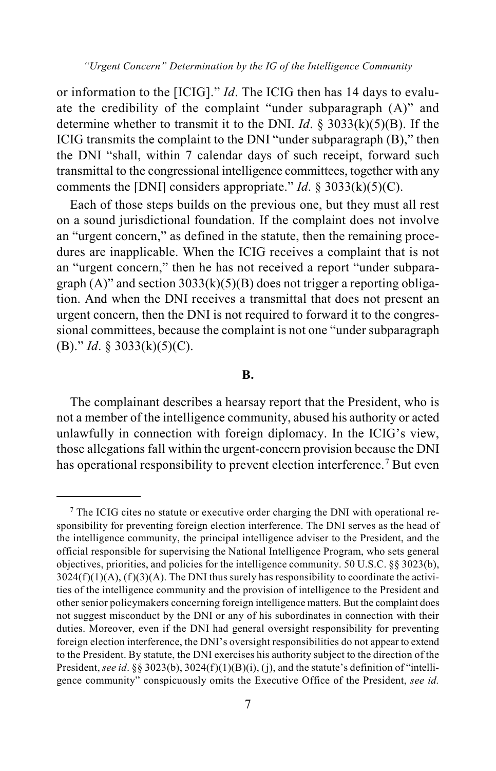*"Urgent Concern" Determination by the IG of the Intelligence Community*

or information to the [ICIG]." *Id*. The ICIG then has 14 days to evaluate the credibility of the complaint "under subparagraph (A)" and determine whether to transmit it to the DNI. *Id*. § 3033(k)(5)(B). If the ICIG transmits the complaint to the DNI "under subparagraph (B)," then the DNI "shall, within 7 calendar days of such receipt, forward such transmittal to the congressional intelligence committees, together with any comments the [DNI] considers appropriate." *Id*. § 3033(k)(5)(C).

Each of those steps builds on the previous one, but they must all rest on a sound jurisdictional foundation. If the complaint does not involve an "urgent concern," as defined in the statute, then the remaining procedures are inapplicable. When the ICIG receives a complaint that is not an "urgent concern," then he has not received a report "under subparagraph  $(A)$ " and section 3033 $(k)(5)(B)$  does not trigger a reporting obligation. And when the DNI receives a transmittal that does not present an urgent concern, then the DNI is not required to forward it to the congressional committees, because the complaint is not one "under subparagraph (B)." *Id*. § 3033(k)(5)(C).

#### **B.**

The complainant describes a hearsay report that the President, who is not a member of the intelligence community, abused his authority or acted unlawfully in connection with foreign diplomacy. In the ICIG's view, those allegations fall within the urgent-concern provision because the DNI has operational responsibility to prevent election interference.<sup>[7](#page-6-0)</sup> But even

<span id="page-6-0"></span> <sup>7</sup> The ICIG cites no statute or executive order charging the DNI with operational responsibility for preventing foreign election interference. The DNI serves as the head of the intelligence community, the principal intelligence adviser to the President, and the official responsible for supervising the National Intelligence Program, who sets general objectives, priorities, and policies for the intelligence community. 50 U.S.C. §§ 3023(b),  $3024(f)(1)(A)$ ,  $(f)(3)(A)$ . The DNI thus surely has responsibility to coordinate the activities of the intelligence community and the provision of intelligence to the President and other senior policymakers concerning foreign intelligence matters. But the complaint does not suggest misconduct by the DNI or any of his subordinates in connection with their duties. Moreover, even if the DNI had general oversight responsibility for preventing foreign election interference, the DNI's oversight responsibilities do not appear to extend to the President. By statute, the DNI exercises his authority subject to the direction of the President, *see id*. §§ 3023(b), 3024(f)(1)(B)(i), (j), and the statute's definition of "intelligence community" conspicuously omits the Executive Office of the President, *see id.*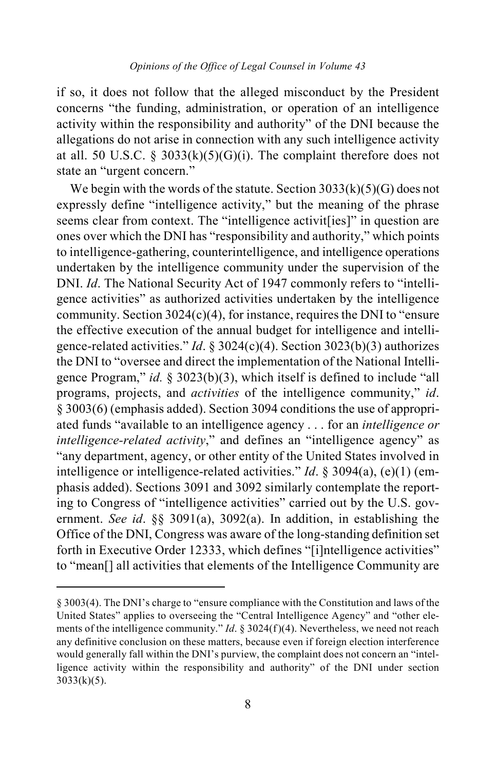if so, it does not follow that the alleged misconduct by the President concerns "the funding, administration, or operation of an intelligence activity within the responsibility and authority" of the DNI because the allegations do not arise in connection with any such intelligence activity at all. 50 U.S.C. § 3033(k)(5)(G)(i). The complaint therefore does not state an "urgent concern."

We begin with the words of the statute. Section  $3033(k)(5)(G)$  does not expressly define "intelligence activity," but the meaning of the phrase seems clear from context. The "intelligence activit [ies]" in question are ones over which the DNI has "responsibility and authority," which points to intelligence-gathering, counterintelligence, and intelligence operations undertaken by the intelligence community under the supervision of the DNI. *Id*. The National Security Act of 1947 commonly refers to "intelligence activities" as authorized activities undertaken by the intelligence community. Section 3024(c)(4), for instance, requires the DNI to "ensure the effective execution of the annual budget for intelligence and intelligence-related activities." *Id*. § 3024(c)(4). Section 3023(b)(3) authorizes the DNI to "oversee and direct the implementation of the National Intelligence Program," *id.* § 3023(b)(3), which itself is defined to include "all programs, projects, and *activities* of the intelligence community," *id*. § 3003(6) (emphasis added). Section 3094 conditions the use of appropriated funds "available to an intelligence agency . . . for an *intelligence or intelligence-related activity*," and defines an "intelligence agency" as "any department, agency, or other entity of the United States involved in intelligence or intelligence-related activities." *Id*. § 3094(a), (e)(1) (emphasis added). Sections 3091 and 3092 similarly contemplate the reporting to Congress of "intelligence activities" carried out by the U.S. government. *See id*. §§ 3091(a), 3092(a). In addition, in establishing the Office of the DNI, Congress was aware of the long-standing definition set forth in Executive Order 12333, which defines "[i]ntelligence activities" to "mean[] all activities that elements of the Intelligence Community are

 $\overline{a}$ 

<sup>§ 3003(4).</sup> The DNI's charge to "ensure compliance with the Constitution and laws of the United States" applies to overseeing the "Central Intelligence Agency" and "other elements of the intelligence community." *Id*. § 3024(f)(4). Nevertheless, we need not reach any definitive conclusion on these matters, because even if foreign election interference would generally fall within the DNI's purview, the complaint does not concern an "intelligence activity within the responsibility and authority" of the DNI under section  $3033(k)(5)$ .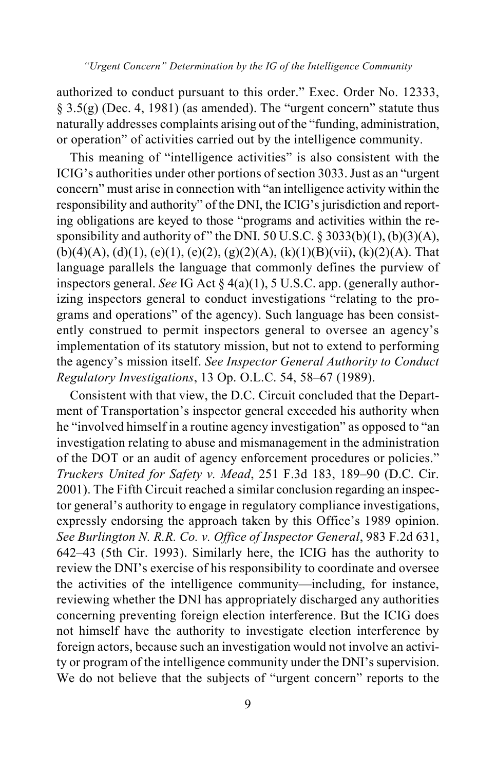authorized to conduct pursuant to this order." Exec. Order No. 12333,  $\S$  3.5(g) (Dec. 4, 1981) (as amended). The "urgent concern" statute thus naturally addresses complaints arising out of the "funding, administration, or operation" of activities carried out by the intelligence community.

This meaning of "intelligence activities" is also consistent with the ICIG's authorities under other portions of section 3033. Just as an "urgent concern" must arise in connection with "an intelligence activity within the responsibility and authority" of the DNI, the ICIG's jurisdiction and reporting obligations are keyed to those "programs and activities within the responsibility and authority of" the DNI. 50 U.S.C.  $\S 3033(b)(1)$ ,  $(b)(3)(A)$ ,  $(b)(4)(A), (d)(1), (e)(1), (e)(2), (g)(2)(A), (k)(1)(B)(vii), (k)(2)(A)$ . That language parallels the language that commonly defines the purview of inspectors general. *See* IG Act § 4(a)(1), 5 U.S.C. app. (generally authorizing inspectors general to conduct investigations "relating to the programs and operations" of the agency). Such language has been consistently construed to permit inspectors general to oversee an agency's implementation of its statutory mission, but not to extend to performing the agency's mission itself. *See Inspector General Authority to Conduct Regulatory Investigations*, 13 Op. O.L.C. 54, 58–67 (1989).

Consistent with that view, the D.C. Circuit concluded that the Department of Transportation's inspector general exceeded his authority when he "involved himself in a routine agency investigation" as opposed to "an investigation relating to abuse and mismanagement in the administration of the DOT or an audit of agency enforcement procedures or policies." *Truckers United for Safety v. Mead*, 251 F.3d 183, 189–90 (D.C. Cir. 2001). The Fifth Circuit reached a similar conclusion regarding an inspector general's authority to engage in regulatory compliance investigations, expressly endorsing the approach taken by this Office's 1989 opinion. *See Burlington N. R.R. Co. v. Office of Inspector General*, 983 F.2d 631, 642–43 (5th Cir. 1993). Similarly here, the ICIG has the authority to review the DNI's exercise of his responsibility to coordinate and oversee the activities of the intelligence community—including, for instance, reviewing whether the DNI has appropriately discharged any authorities concerning preventing foreign election interference. But the ICIG does not himself have the authority to investigate election interference by foreign actors, because such an investigation would not involve an activity or program of the intelligence community under the DNI's supervision. We do not believe that the subjects of "urgent concern" reports to the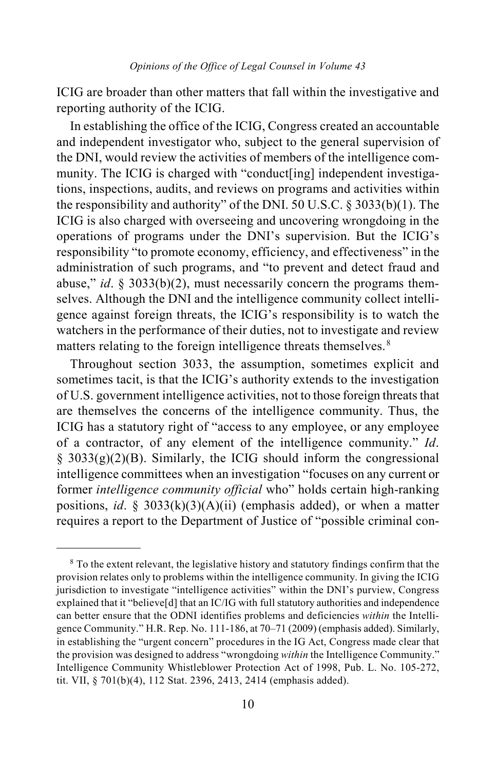ICIG are broader than other matters that fall within the investigative and reporting authority of the ICIG.

In establishing the office of the ICIG, Congress created an accountable and independent investigator who, subject to the general supervision of the DNI, would review the activities of members of the intelligence community. The ICIG is charged with "conduct[ing] independent investigations, inspections, audits, and reviews on programs and activities within the responsibility and authority" of the DNI. 50 U.S.C. § 3033(b)(1). The ICIG is also charged with overseeing and uncovering wrongdoing in the operations of programs under the DNI's supervision. But the ICIG's responsibility "to promote economy, efficiency, and effectiveness" in the administration of such programs, and "to prevent and detect fraud and abuse," *id*. § 3033(b)(2), must necessarily concern the programs themselves. Although the DNI and the intelligence community collect intelligence against foreign threats, the ICIG's responsibility is to watch the watchers in the performance of their duties, not to investigate and review matters relating to the foreign intelligence threats themselves.<sup>[8](#page-9-0)</sup>

Throughout section 3033, the assumption, sometimes explicit and sometimes tacit, is that the ICIG's authority extends to the investigation of U.S. government intelligence activities, not to those foreign threats that are themselves the concerns of the intelligence community. Thus, the ICIG has a statutory right of "access to any employee, or any employee of a contractor, of any element of the intelligence community." *Id*.  $§$  3033(g)(2)(B). Similarly, the ICIG should inform the congressional intelligence committees when an investigation "focuses on any current or former *intelligence community official* who" holds certain high-ranking positions, *id*. § 3033(k)(3)(A)(ii) (emphasis added), or when a matter requires a report to the Department of Justice of "possible criminal con-

<span id="page-9-0"></span> <sup>8</sup> To the extent relevant, the legislative history and statutory findings confirm that the provision relates only to problems within the intelligence community. In giving the ICIG jurisdiction to investigate "intelligence activities" within the DNI's purview, Congress explained that it "believe[d] that an IC/IG with full statutory authorities and independence can better ensure that the ODNI identifies problems and deficiencies *within* the Intelligence Community." H.R. Rep. No. 111-186, at 70–71 (2009) (emphasis added). Similarly, in establishing the "urgent concern" procedures in the IG Act, Congress made clear that the provision was designed to address "wrongdoing *within* the Intelligence Community." Intelligence Community Whistleblower Protection Act of 1998, Pub. L. No. 105-272, tit. VII, § 701(b)(4), 112 Stat. 2396, 2413, 2414 (emphasis added).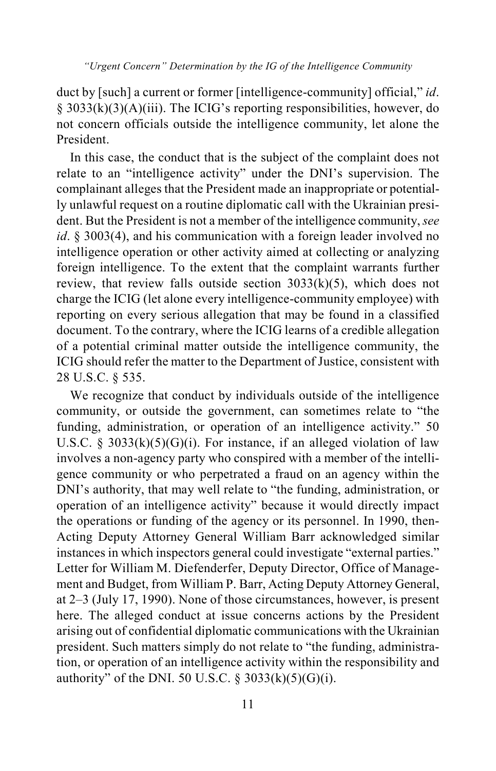duct by [such] a current or former [intelligence-community] official," *id*. § 3033(k)(3)(A)(iii). The ICIG's reporting responsibilities, however, do not concern officials outside the intelligence community, let alone the President.

In this case, the conduct that is the subject of the complaint does not relate to an "intelligence activity" under the DNI's supervision. The complainant alleges that the President made an inappropriate or potentially unlawful request on a routine diplomatic call with the Ukrainian president. But the President is not a member of the intelligence community, *see id*. § 3003(4), and his communication with a foreign leader involved no intelligence operation or other activity aimed at collecting or analyzing foreign intelligence. To the extent that the complaint warrants further review, that review falls outside section  $3033(k)(5)$ , which does not charge the ICIG (let alone every intelligence-community employee) with reporting on every serious allegation that may be found in a classified document. To the contrary, where the ICIG learns of a credible allegation of a potential criminal matter outside the intelligence community, the ICIG should refer the matter to the Department of Justice, consistent with 28 U.S.C. § 535.

We recognize that conduct by individuals outside of the intelligence community, or outside the government, can sometimes relate to "the funding, administration, or operation of an intelligence activity." 50 U.S.C. § 3033 $(k)(5)(G)(i)$ . For instance, if an alleged violation of law involves a non-agency party who conspired with a member of the intelligence community or who perpetrated a fraud on an agency within the DNI's authority, that may well relate to "the funding, administration, or operation of an intelligence activity" because it would directly impact the operations or funding of the agency or its personnel. In 1990, then-Acting Deputy Attorney General William Barr acknowledged similar instances in which inspectors general could investigate "external parties." Letter for William M. Diefenderfer, Deputy Director, Office of Management and Budget, from William P. Barr, Acting Deputy Attorney General, at 2–3 (July 17, 1990). None of those circumstances, however, is present here. The alleged conduct at issue concerns actions by the President arising out of confidential diplomatic communications with the Ukrainian president. Such matters simply do not relate to "the funding, administration, or operation of an intelligence activity within the responsibility and authority" of the DNI. 50 U.S.C. § 3033(k)(5)(G)(i).